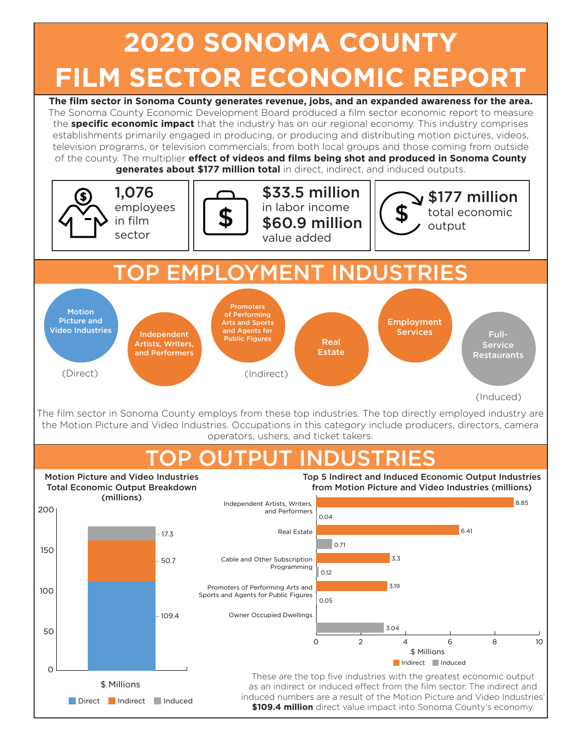## **2020 SONOMA COUNTY FILM SECTOR ECONOMIC REPORT**

**The film sector in Sonoma County generates revenue, jobs, and an expanded awareness for the area.**  The Sonoma County Economic Development Board produced a film sector economic report to measure the **specific economic impact** that the industry has on our regional economy. This industry comprises establishments primarily engaged in producing, or producing and distributing motion pictures, videos, television programs, or television commercials, from both local groups and those coming from outside of the county. The multiplier **effect of videos and films being shot and produced in Sonoma County generates about \$177 million total** in direct, indirect, and induced outputs. Motion Picture and Video Industries **Independent** Artists, Writers, and Performers Promoters of Performing Arts and Sports and Agents for Public Figures Real Estate TOP EMPLOYMENT INDUSTRIES The film sector in Sonoma County employs from these top industries. The top directly employed industry are the Motion Picture and Video Industries. Occupations in this category include producers, directors, camera operators, ushers, and ticket takers. TOP OUTPUT INDUSTRIES These are the top five industries with the greatest economic output as an indirect or induced effect from the film sector. The indirect and induced numbers are a result of the Motion Picture and Video Industries' **\$109.4 million** direct value impact into Sonoma County's economy. 0 2 4 6 8 10 Owner Occupied Dwellings Promoters of Performing Arts and Sports and Agents for Public Figures Cable and Other Subscription Programming Real Estate Independent Artists, Writers, and Performers 8.85 0.04 6.41 0.71 3.3 0.12 3.19  $0.05$ 3.04 Indirect Induced \$ Millions (Direct) (Indirect) (Induced) 1,076 employees in film sector \$33.5 million  $\sum_{i=1}^{\infty}$  in labor income total economic \$60.9 million  $\|\n\vee \n\mathcal{F}\n$  output value added Direct Indirect Induced \$ Millions 200 150 100 50  $\Omega$  $-109.4$ 50.7 17.3 Motion Picture and Video Industries Total Economic Output Breakdown (millions) Full-Service Restaurants Employment **Services** Top 5 Indirect and Induced Economic Output Industries from Motion Picture and Video Industries (millions)